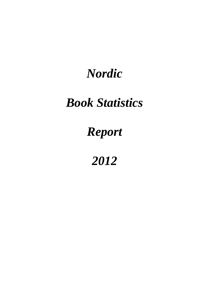# *Nordic*

# *Book Statistics*

# *Report*

*2012*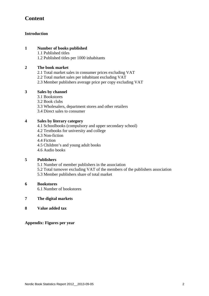# **Content**

#### **Introduction**

#### **1 Number of books published**

1.1 Published titles

1.2 Published titles per 1000 inhabitants

#### **2 The book market**

- 2.1 Total market sales in consumer prices excluding VAT
- 2.2 Total market sales per inhabitant excluding VAT
- 2.3 Member publishers average price per copy excluding VAT

#### **3 Sales by channel**

- 3.1 Bookstores
- 3.2 Book clubs
- 3.3 Wholesalers, department stores and other retailers
- 3.4 Direct sales to consumer

#### **4 Sales by literary category**

- 4.1 Schoolbooks (compulsory and upper secondary school)
- 4.2 Textbooks for university and college
- 4.3 Non-fiction
- 4.4 Fiction
- 4.5 Children's and young adult books
- 4.6 Audio books

#### **5 Publishers**

- 5.1 Number of member publishers in the association
- 5.2 Total turnover excluding VAT of the members of the publishers association
- 5.3 Member publishers share of total market

#### **6 Bookstores**

6.1 Number of bookstores

#### **7 The digital markets**

**8 Value added tax** 

**Appendix: Figures per year**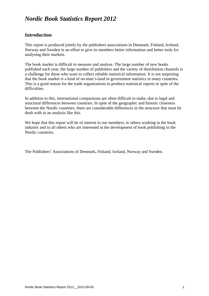# *Nordic Book Statistics Report 2012*

## **Introduction**

This report is produced jointly by the publishers associations in Denmark, Finland, Iceland, Norway and Sweden in an effort to give its members better information and better tools for analysing their markets.

The book market is difficult to measure and analyse. The large number of new books published each year, the large number of publishers and the variety of distribution channels is a challenge for those who want to collect reliable statistical information. It is not surprising that the book market is a kind of no-man's-land in government statistics in many countries. This is a good reason for the trade organisations to produce statistical reports in spite of the difficulties.

In addition to this, international comparisons are often difficult to make, due to legal and structural differences between countries. In spite of the geographic and historic closeness between the Nordic countries, there are considerable differences in the structure that must be dealt with in an analysis like this.

We hope that this report will be of interest to our members, to others working in the book industry and to all others who are interested in the development of book publishing in the Nordic countries.

The Publishers' Associations of Denmark, Finland, Iceland, Norway and Sweden.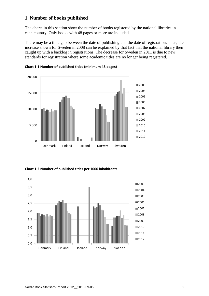## **1. Number of books published**

The charts in this section show the number of books registered by the national libraries in each country. Only books with 48 pages or more are included.

There may be a time gap between the date of publishing and the date of registration. Thus, the increase shown for Sweden in 2008 can be explained by that fact that the national library then caught up with a backlog in registrations. The decrease for Sweden in 2011 is due to new standards for registration where some academic titles are no longer being registered.



**Chart 1.1 Number of published titles (minimum 48 pages)**

**Chart 1.2 Number of published titles per 1000 inhabitants**

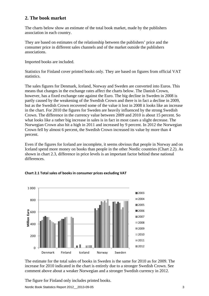## **2. The book market**

The charts below show an estimate of the total book market, made by the publishers association in each country.

They are based on estimates of the relationship between the publishers' price and the consumer price in different sales channels and of the market outside the publishers associations.

Imported books are included.

Statistics for Finland cover printed books only. They are based on figures from official VAT statistics.

The sales figures for Denmark, Iceland, Norway and Sweden are converted into Euros. This means that changes in the exchange rates affect the charts below. The Danish Crown, however, has a fixed exchange rate against the Euro. The big decline in Sweden in 2008 is partly caused by the weakening of the Swedish Crown and there is in fact a decline in 2009, but as the Swedish Crown recovered some of the value it lost in 2008 it looks like an increase in the chart. For 2010 the figures for Sweden are heavily influenced by the strong Swedish Crown. The difference in the currency value between 2009 and 2010 is about 15 percent. So what looks like a rather big increase in sales is in fact in most cases a slight decrease. The Norwegian Crown also hit a high in 2011 and increased by 9 percent. In 2012 the Norwegian Crown fell by almost 6 percent, the Swedish Crown increased its value by more than 4 percent.

Even if the figures for Iceland are incomplete, it seems obvious that people in Norway and on Iceland spend more money on books than people in the other Nordic countries (Chart 2.2). As shown in chart 2.3, difference in price levels is an important factor behind these national differences.



#### **Chart 2.1 Total sales of books in consumer prices excluding VAT**

The estimate for the total sales of books in Sweden is the same for 2010 as for 2009. The increase for 2010 indicated in the chart is entirely due to a stronger Swedish Crown. See comment above about a weaker Norwegian and a stronger Swedish currency in 2012.

The figure for Finland only includes printed books.

Nordic Book Statistics Report 2012\_\_2013-09-05 3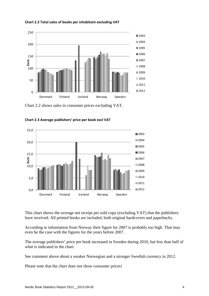

**Chart 2.2 Total sales of books per inhabitant excluding VAT**

Chart 2.2 shows sales in consumer prices excluding VAT.



**Chart 2.3 Average publishers' price per book excl VAT** 

This chart shows the average net receipt per sold copy (excluding VAT) that the publishers have received. All printed books are included, both original hardcovers and paperbacks.

According to information from Norway their figure for 2007 is probably too high. That may even be the case with the figures for the years before 2007.

The average publishers' price per book increased in Sweden during 2010, but less than half of what is indicated in the chart.

See comment above about a weaker Norwegian and a stronger Swedish currency in 2012.

Please note that the chart does not show consumer prices!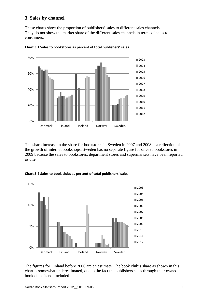## **3. Sales by channel**

These charts show the proportion of publishers' sales to different sales channels. They do not show the market share of the different sales channels in terms of sales to consumers.



**Chart 3.1 Sales to bookstores as percent of total publishers' sales**

The sharp increase in the share for bookstores in Sweden in 2007 and 2008 is a reflection of the growth of internet bookshops. Sweden has no separate figure for sales to bookstores in 2009 because the sales to bookstores, department stores and supermarkets have been reported as one.





The figures for Finland before 2006 are en estimate. The book club's share as shown in this chart is somewhat underestimated, due to the fact the publishers sales through their owned book clubs is not included.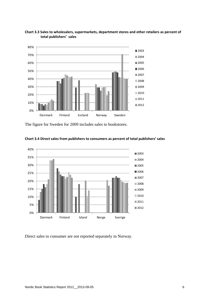

**Chart 3.3 Sales to wholesalers, supermarkets, department stores and other retailers as percent of total publishers' sales**

The figure for Sweden for 2009 includes sales to bookstores.



**Chart 3.4 Direct sales from publishers to consumers as percent of total publishers' sales**

Direct sales to consumer are not reported separately in Norway.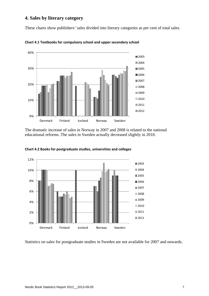## **4. Sales by literary category**

These charts show publishers' sales divided into literary categories as per cent of total sales.



**Chart 4.1 Textbooks for compulsory school and upper secondary school**

The dramatic increase of sales in Norway in 2007 and 2008 is related to the national educational reforms. The sales in Sweden actually decreased slightly in 2010.



**Chart 4.2 Books for postgraduate studies, universities and colleges**

Statistics on sales for postgraduate studies in Sweden are not available for 2007 and onwards.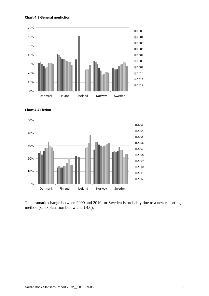#### **Chart 4.3 General nonfiction**







The dramatic change between 2009 and 2010 for Sweden is probably due to a new reporting method (se explanation below chart 4.6).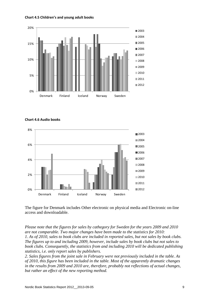



**Chart 4.6 Audio books**



The figure for Denmark includes Other electronic on physical media and Electronic on-line access and downloadable.

*Please note that the figures for sales by cathegory for Sweden for the years 2009 and 2010 are not comparable. Two major changes have been made to the statistics for 2010: 1. As of 2010, sales to book clubs are included in reported sales, but not sales by book clubs. The figures up to and including 2009, however, include sales by book clubs but not sales to book clubs. Consequently, the statistics from and including 2010 will be dedicated publishing statistics, i.e. only report sales by publishers.* 

*2. Sales figures from the joint sale in February were not previously included in the table. As of 2010, this figure has been included in the table. Most of the apparently dramatic changes in the results from 2009 and 2010 are, therefore, probably not reflections of actual changes, but rather an effect of the new reporting method.*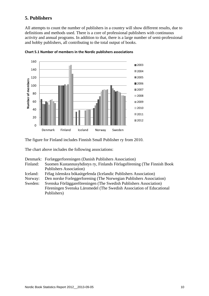## **5. Publishers**

All attempts to count the number of publishers in a country will show different results, due to definitions and methods used. There is a core of professional publishers with continuous activity and annual programs. In addition to that, there is a large number of semi-professional and hobby publishers, all contributing to the total output of books.



**Chart 5.1 Number of members in the Nordic publishers associations**

The figure for Finland includes Finnish Small Publisher ry from 2010.

The chart above includes the following associations:

|          | Denmark: Forlæggerforeningen (Danish Publishers Association)            |
|----------|-------------------------------------------------------------------------|
| Finland: | Suomen Kustannusyhdistys ry, Finlands Förlagsförening (The Finnish Book |
|          | <b>Publishers Association</b> )                                         |
| Iceland: | Félag íslenskra bókaútgefenda (Icelandic Publishers Association)        |
| Norway:  | Den norske Forleggerforening (The Norwegian Publishers Association)     |
| Sweden:  | Svenska Förläggareföreningen (The Swedish Publishers Association)       |
|          | Föreningen Svenska Läromedel (The Swedish Association of Educational    |
|          | Publishers)                                                             |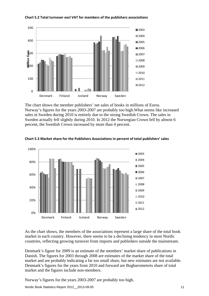

**Chart 5.2 Total turnover excl VAT for members of the publishers associations**

The chart shows the member publishers' net sales of books in millions of Euros. Norway's figures for the years 2003-2007 are probably too high.What seems like increased sales in Sweden during 2010 is entirely due to the strong Swedish Crown. The sales in Sweden actually fell slightly during 2010. In 2012 the Norwegian Crown fell by almost 6 percent, the Swedish Crown increased by more than 4 percent.



**Chart 5.3 Market share for the Publishers Associations in percent of total publishers' sales**

As the chart shows, the members of the associations represent a large share of the total book market in each country. However, there seems to be a declining tendency in most Nordic countries, reflecting growing turnover from imports and publishers outside the mainstream.

Denmark's figure for 2009 is an estimate of the members' market share of publications in Danish. The figures for 2003 through 2008 are estimates of the market share of the total market and are probably indicating a far too small share, but new estimates are not available. Denmark's figures for the years from 2010 and forward are Bogbarometrets share of total market and the figures include non-members.

Norway's figures for the years 2003-2007 are probably too high.

Nordic Book Statistics Report 2012 2013-09-05 11 12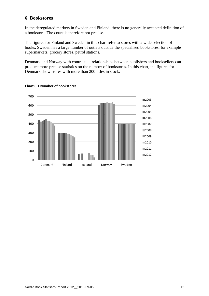## **6. Bookstores**

In the deregulated markets in Sweden and Finland, there is no generally accepted definition of a bookstore. The count is therefore not precise.

The figures for Finland and Sweden in this chart refer to stores with a wide selection of books. Sweden has a large number of outlets outside the specialised bookstores, for example supermarkets, grocery stores, petrol stations.

Denmark and Norway with contractual relationships between publishers and booksellers can produce more precise statistics on the number of bookstores. In this chart, the figures for Denmark show stores with more than 200 titles in stock.



#### **Chart 6.1 Number of bookstores**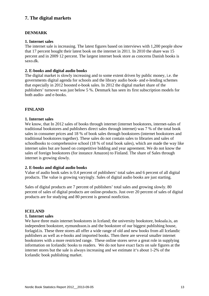## **7. The digital markets**

#### **DENMARK**

#### **1. Internet sales**

The internet sale is increasing. The latest figures based on interviews with 1,200 people show that 17 percent bought their latest book on the internet in 2011. In 2010 the share was 15 percent and in 2009 12 percent. The largest internet book store as concerns Danish books is saxo.dk.

#### **2. E-books and digital audio books**

The digital market is slowly increasing and to some extent driven by public money, i.e. the governments digital agenda for schools and the library audio book- and e-lending schemes that especially in 2012 boosted e-book sales. In 2012 the digital market share of the publishers' turnover was just below 5 %. Denmark has seen its first subscription models for both audio- and e-books.

#### **FINLAND**

#### **1. Internet sales**

We know, that In 2012 sales of books through internet (internet bookstores, internet-sales of traditional bookstores and publishers direct sales through internet) was 7 % of the total book sales in consumer prices and 18 % of book sales through bookstores (internet bookstores and traditional bookstores together). These sales do not contain sales to libraries and sales of schoolbooks to comprehensive school (18 % of total book sales), which are made the way like internet sales but are based on competitive bidding and year agreement. We do not know the sales of foreign bookstores (for instance Amazon) to Finland. The share of Sales through internet is growing slowly.

#### **2. E-books and digital audio books**

Value of audio book sales is 0.4 percent of publishers' total sales and 6 percent of all digital products. The value is growing varyingly. Sales of digital audio books are just starting.

Sales of digital products are 7 percent of publishers' total sales and growing slowly. 80 percent of sales of digital products are online-products. Just over 20 percent of sales of digital products are for studying and 80 percent is general nonfiction.

#### **ICELAND**

#### **1. Internet sales**

We have three main internet bookstores in Iceland; the university bookstore, boksala.is, an independent bookstore, eymundsson.is and the bookstore of our biggest publishing house, forlagid.is. These three stores all offer a wide range of old and new books from all Icelandic publishers as well as e-books and imported books. Then there are several smaller internet bookstores with a more restricted range. These online stores serve a great role in supplying information on Icelandic books to readers. We do not have exact facts on sale figures at the internet stores but the sale is always increasing and we estimate it's about 1-2% of the Icelandic book publishing market.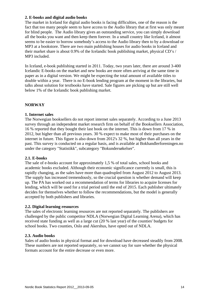#### **2. E-books and digital audio books**

The market in Iceland for digital audio books is facing difficulties, one of the reason is the fact that too many people seem to have access to the Audio library that at first was only meant for blind people. The Audio library gives an outstanding service, you can simply download all the books you want and then keep them forever. In a small country like Iceland, it almost seems to be easier to borrow somebody's access to the Audio library then to by a download or MP3 at a bookstore. There are two main publishing houses for audio books in Iceland and their market share is about 0.9% of the Icelandic book publishing market, physical CD's / MP3 included.

In Iceland, e-book publishing started in 2011. Today, two years later, there are around 3-400 Icelandic E-books on the market and new books are more often arriving at the same time in paper as in a digital version. We might be expecting the total amount of available titles to double within a year. There is no E-book lending program at the moment in the libraries, but talks about solution for textbooks have started. Sale figures are picking up but are still well below 1% of the Icelandic book publishing market.

#### **NORWAY**

#### **1. Internet sales**

The Norwegian booksellers do not report internet sales separately. According to a June 2013 survey through an independent market research firm on behalf of the Booksellers Association, 16 % reported that they bought their last book on the internet. This is down from 17 % in 2012, but higher than all previous years. 30 % expect to make most of their purchases on the internet in future. This figure is also down from 2012's 32 %, but higher than all years in the past. This survey is conducted on a regular basis, and is available at Bokhandlerforeningen.no under the category "Statistikk", subcategory "Bokundersøkelser".

#### **2.1. E-books**

The sale of e-books account for approximately 1,5 % of total sales, school books and academic books excluded. Although their economic significance currently is small, this is rapidly changing, as the sales have more than quadrupled from August 2012 to August 2013. The supply has increased tremendously, so the crucial question is whether demand will keep up. The PA has worked out a recommendation of terms for libraries to acquire licenses for lending, which will be used for a trial period until the end of 2015. Each publisher ultimately decides for themselves whether to follow the recommendations, but the model is generally accepted by both publishers and libraries.

#### **2.2. Digital learning resources**

The sales of electronic learning resources are not reported separately. The publishers are challenged by the public competitor NDLA (Norwegian Digital Learning Arena), which has received state funding as well as a large cut (20 % last year) of the counties' budgets for school books. Two counties, Oslo and Akershus, have opted out of NDLA.

#### **2.3. Audio books**

Sales of audio books in physical format and for download have decreased steadily from 2008. These numbers are not reported separately, so we cannot say for sure whether the physical formats account for the entire decrease or even more.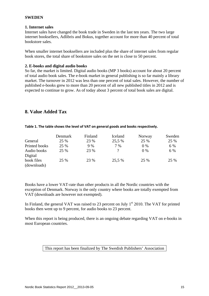#### **SWEDEN**

#### **1. Internet sales**

Internet sales have changed the book trade in Sweden in the last ten years. The two large internet booksellers, Adlibris and Bokus, together account for more than 40 percent of total bookstore sales.

When smaller internet booksellers are included plus the share of internet sales from regular book stores, the total share of bookstore sales on the net is close to 50 percent.

#### **2. E-books and digital audio books**

So far, the market is limited. Digital audio books (MP 3 books) account for about 20 percent of total audio book sales. The e-book market in general publishing is so far mainly a library market. The turnover in 2012 was less than one percent of total sales. However, the number of published e-books grew to more than 20 percent of all new published titles in 2012 and is expected to continue to grow. As of today about 3 percent of total book sales are digital.

## **8. Value Added Tax**

|                           | Denmark | Finland | Iceland | Norway | Sweden |
|---------------------------|---------|---------|---------|--------|--------|
| General                   | 25 %    | 23 %    | 25,5 %  | 25 %   | 25 %   |
| Printed books             | 25 %    | 9 %     | 7 %     | $0\%$  | 6 %    |
| Audio books               | 25 %    | 23 %    |         | $0\%$  | 6 %    |
| Digital                   |         |         |         |        |        |
| book files<br>(downloads) | 25 %    | 23 %    | 25,5 %  | 25 %   | 25 %   |

#### **Table 1. The table shows the level of VAT on general goods and books respectively.**

Books have a lower VAT-rate than other products in all the Nordic countries with the exception of Denmark. Norway is the only country where books are totally exempted from VAT (downloads are however not exempted).

In Finland, the general VAT was raised to 23 percent on July  $1<sup>st</sup>$  2010. The VAT for printed books then went up to 9 percent, for audio books to 23 percent.

When this report is being produced, there is an ongoing debate regarding VAT on e-books in most European countries.

#### This report has been finalized by The Swedish Publishers' Association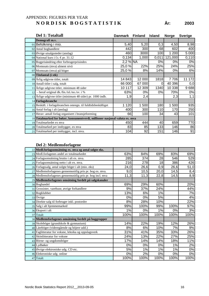## APPENDIX: FIGURES PER YEAR **N O R D I S K B O G S T A T I S T I K År: 2003**

| Del 1: Totaltall                                                            | <b>Danmark</b> | <b>Finland</b> | <b>Island</b> | <b>Norge</b> | <b>Sverige</b> |
|-----------------------------------------------------------------------------|----------------|----------------|---------------|--------------|----------------|
| Demografi m.v.                                                              |                |                |               |              |                |
| 01 Befolkning i mio.                                                        | 5,40           | 5,20           | 0,3           | 4,50         | 8,98           |
| 02 Antal boghandlere                                                        | 442            | 300            | 68            | 602          | 400            |
| 03 Øvrige utsalgssteder (anslag)                                            | 460            | 3000           | 100           | 200          | 5 0 0 0        |
| 04 National kurs i f.t. €pr. 31.12                                          | 0,134          | 1,000          | 0,011         | 121,000      | 0,110          |
| 05 Bogprisändring efter forbrugerprisindex                                  | 2,2 % NA       |                | 0%            | 0%           | 0%             |
| 06 Momssats (mva) alment nivå                                               | 25,0 %         | 22%            | 25%           | 24%          | 25%            |
| 07 Momssats (mva) på böger                                                  | 25,0%          | 8%             | 14%           | 0%           | 6%             |
| 08 Titelantal (i stk)                                                       |                |                |               |              |                |
| 09 Årlig udgivne titler, totalt                                             | 14 843         | 12 000         | 1818          | 7 706        | 172<br>11      |
| 10 Antall titler i salg, totalt                                             | 66 000         | 67 000         | 0             | 40 396       | 0,0            |
| 11 Årlige udgivne titler, minimum 48 sider                                  | 10 117         | 12 309         | 1340          | 10 338       | 9688           |
| $12$ – heraf original dk./fin./isl./no./sv. i %                             | 63%            | $0\%$          | 0%            | 70%          | 0%             |
| 13 Årlige udgivne titler (minimum 48 sider) pr. 1000 indb.                  | 1,9            | 2,4            |               | 2,3          | 1,1            |
| 14 Forlagsbranche                                                           |                |                |               |              |                |
| 15 Beskäft. i forlagsbranchen omregn. til fuldtidsbeskäftiget               | 1 1 2 0        | 500<br>1       | 180           | 500          | 935            |
| 16 Antal forlag i alt (anslag)                                              | 400            | 300            | 110           | 170          | 250            |
| 17 Herav: antall forlag organisert i bransjeforening                        | 66             | 100            | 34            | 43           | 101            |
| 18 Totalmarked for bøker, konsumentverdi, millioner nasjonal valuta ex. mva |                |                |               |              |                |
| 19 Totalmarkedet ex mva                                                     | 450            | 444            | 40            | 659          | 770            |
| 20 Totalmarked per innbygger, ex mva                                        | 83             | 85             | 133           | 146          | 86             |
| 21 Totalmarked per innbygger, incl. mva.                                    | 104            | 92             | 151           | 146          | 91             |

| 22 Medl.forlagsomsätning ex. mva og antal solgte eks.     |      |      |       |      |       |
|-----------------------------------------------------------|------|------|-------|------|-------|
| 23 Medl.forlagenes andel av totalmarkedet                 | 63%  | 84%  | 69%   | 83%  | 69%   |
| 24 Forlagsomsätning brutto i alt ex. mva.                 | 285  | 374  | 28    | 546  | 529   |
| 25 Forlagsomsätning netto i alt ex. mva.                  | 216  | 278  | 18    | 386  | 426   |
| 26 Forlagssalg, antal solgte böger i alt (mio. eks)       | 24,0 | 26,6 | 0,9   | 26,6 | 51,0  |
| 27 Medlemsforlagenes gennemsnitlig pris pr. bog ex. mva.  | 9,0  | 10,5 | 20,0  | 14,5 | 8,4   |
| 28 Medlemsforlagenes gennemsnitlig pris pr. bog incl. mva | 11,3 | 11,3 | 22,8  | 14,5 | 8,9   |
| 29 Medlemsforlagenes omsätning fordelt på salgskanaler    |      |      |       |      |       |
| 30 Boghandel                                              | 69%  | 29%  | 60%   |      | 20%   |
| 31 Grossister, varehuse, øvrige forhandlere               | 9%   | 37%  | 24%   |      | 44%   |
| 32 Bogklubber                                             | 13%  | 6%   | 1%    |      | 7%    |
| 33 Övrige                                                 | 0%   | 0%   | 5%    |      | 4%    |
| 34 Direkte salg til forbruger inkl. postordre             | 8%   | 28%  | 10%   |      | 22%   |
| 35 Salg i alt hjemmemarked                                | 99%  | 100% | 99%   | 100% | 97%   |
| 36 Eksport i alt                                          | 1%   | 0%   | 1%    | 0%   | 3%    |
| 37 Totalt                                                 | 100% | 100% | 100%  | 100% | 100%  |
| 38 Medlemsforlagenes omsätning fordelt på boggrupper      |      |      |       |      |       |
| 39 Skoleböger (grundskole & gymnasium)                    | 14%  | 22%  | 19%   | 12%  | 26%   |
| 40 Läreböger (videregående og höjere udd.)                | 8%   | 6%   | 10%   | 7%   | 9%    |
| 41 Faglitteratur for voksne, leksika og oppslagsverk      | 31%  | 41%  | 35%   | 33%  | 26%   |
| 42 Skönlitteratur for voksne                              | 24%  | 13%  | 22%   | 27%  | 25%   |
| 43 Börne- og ungdomsböger                                 | 17%  | 14%  | 14%   | 18%  | 11%   |
| 44 Lydbøker                                               | 0%   | 0%   | 0%    | 1%   | 2%    |
| 45 Øvrige elektroniske udg. CD etc.                       | 5%   | 1%   | 1%    | 1%   | $0\%$ |
| 46 Elektroniske udg. online                               | 0%   | 2%   | $0\%$ | 0%   | $0\%$ |
| 47 Totalt                                                 | 100% | 100% | 100%  | 100% | 100%  |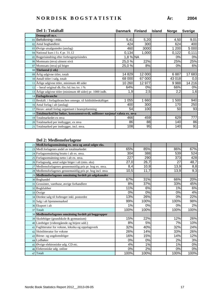| Del 1: Totaltall                                                            | <b>Danmark</b> | <b>Finland</b> | <b>Island</b> | <b>Norge</b> | <b>Sverige</b> |
|-----------------------------------------------------------------------------|----------------|----------------|---------------|--------------|----------------|
| Demografi m.v.                                                              |                |                |               |              |                |
| 01 Befolkning i mio.                                                        | 5,41           | 5,20           |               | 4,50         | 9,01           |
| 02 Antal boghandlere                                                        | 424            | 300            |               | 624          | 400            |
| 03 Øvrige utsalgssteder (anslag)                                            | 460            | 3000           |               | 1 200        | 5 0 0 0        |
| 04 National kurs i f.t. €pr. 31.12                                          | 0,134          | 1,000          |               | 0,122        | 0,111          |
| 05 Bogprisändring efter forbrugerprisindex                                  | $1,8%$ NA      |                |               | 0%           | 0%             |
| 06 Momssats (mva) alment nivå                                               | 25,0 %         | 22%            |               | 25%          | 25%            |
| 07 Momssats (mva) på böger                                                  | 25,0 %         | 8%             |               | 0%           | 6%             |
| 08 Titelantal (i stk)                                                       |                |                |               |              |                |
| 09 Årlig udgivne titler, totalt                                             | 14 8 29        | 12 000         |               | 6887         | 17 683         |
| 10 Antall titler i salg, totalt                                             | 68 000         | 67 000         |               | 43 018       | 0,0            |
| 11 Årlige udgivne titler, minimum 48 sider                                  | 10 260         | 12 977         |               | 9988         | 14 216         |
| $12$ – heraf original dk./fin./isl./no./sv. i %                             | 64%            | 0%             |               | 66%          | 0%             |
| 13 Årlige udgivne titler (minimum 48 sider) pr. 1000 indb.                  | 1,9            | 2,5            |               | 2,2          | 1,6            |
| 14 Forlagsbranche                                                           |                |                |               |              |                |
| 15 Beskäft. i forlagsbranchen omregn. til fuldtidsbeskäftiget               | 1 0 5 5        | 1 660          |               | 1 500        | 940            |
| 16 Antal forlag i alt (anslag)                                              | 400            | 300            |               | 170          | 250            |
| 17 Herav: antall forlag organisert i bransjeforening                        | 54             | 100            |               | 50           | 93             |
| 18 Totalmarked for bøker, konsumentverdi, millioner nasjonal valuta ex. mva |                |                |               |              |                |
| 19 Totalmarkedet ex mva                                                     | 466            | 459            |               | 629          | 777            |
| 20 Totalmarked per innbygger, ex mva                                        | 86             | 88             |               | 140          | 86             |
| 21 Totalmarked per innbygger, incl. mva.                                    | 108            | 95             |               | 140          | 91             |

| 22 Medl.forlagsomsätning ex. mva og antal solgte eks.     |      |      |       |      |
|-----------------------------------------------------------|------|------|-------|------|
| 23 Medl.forlagenes andel av totalmarkedet                 | 65%  | 85%  | 86%   | 67%  |
| 24 Forlagsomsätning brutto i alt ex. mva.                 | 304  | 388  | 539   | 524  |
| 25 Forlagsomsätning netto i alt ex. mva.                  | 227  | 290  | 373   | 428  |
| 26 Forlagssalg, antal solgte böger i alt (mio. eks)       | 27,0 | 26,7 | 27    | 48,7 |
| 27 Medlemsforlagenes gennemsnitlig pris pr. bog ex. mva.  | 8,4  | 10,9 | 13,9  | 8,8  |
| 28 Medlemsforlagenes gennemsnitlig pris pr. bog incl. mva | 10,5 | 11,7 | 13,9  | 9,3  |
| 29 Medlemsforlagenes omsätning fordelt på salgskanaler    |      |      |       |      |
| 30 Boghandel                                              | 67%  | 31%  | 66%   | 20%  |
| 31 Grossister, varehuse, øvrige forhandlere               | 8%   | 37%  | 33%   | 45%  |
| 32 Bogklubber                                             | 11%  | 6%   | 1%    | 6%   |
| 33 Övrige                                                 | 0%   | 0%   | 0%    | 4%   |
| 34 Direkte salg til forbruger inkl. postordre             | 13%  | 26%  | 0%    | 22%  |
| 35 Salg i alt hjemmemarked                                | 99%  | 100% | 100%  | 98%  |
| 36 Eksport i alt                                          | 1%   | 0%   | 0%    | 2%   |
| 37 Totalt                                                 | 100% | 100% | 100%  | 100% |
| 38 Medlemsforlagenes omsätning fordelt på boggrupper      |      |      |       |      |
| 39 Skoleböger (grundskole & gymnasium)                    | 15%  | 22%  | 12%   | 26%  |
| 40 Läreböger (videregående og höjere udd.)                | 8%   | 5%   | 7%    | 10%  |
| 41 Faglitteratur for voksne, leksika og oppslagsverk      | 32%  | 40%  | 32%   | 24%  |
| 42 Skönlitteratur for voksne                              | 26%  | 14%  | 33%   | 26%  |
| 43 Börne- og ungdomsböger                                 | 16%  | 15%  | 14%   | 12%  |
| 44 Lydbøker                                               | 0%   | 0%   | 2%    | 3%   |
| 45 Øvrige elektroniske udg. CD etc.                       | 4%   | 1%   | 1%    | 0%   |
| 46 Elektroniske udg. online                               | 0%   | 2%   | $0\%$ | 0%   |
| 47 Totalt                                                 | 100% | 100% | 100%  | 100% |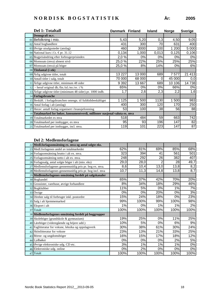|    | Del 1: Totaltall                                                            | Danmark Finland |        | <b>Island</b> | <b>Norge</b> | <b>Sverige</b> |
|----|-----------------------------------------------------------------------------|-----------------|--------|---------------|--------------|----------------|
|    | Demografi m.v.                                                              |                 |        |               |              |                |
|    | 01 Befolkning i mio.                                                        | 5,43            | 5,20   | 0,3           | 4,50         | 9,05           |
|    | 02 Antal boghandlere                                                        | 431             | 300    | 70            | 631          | 400            |
|    | 03 Øvrige utsalgssteder (anslag)                                            | 460             | 3000   | 100           | 1 200        | 5 0 0 0        |
|    | 04 National kurs i f.t. €pr. 31.12                                          | 0,134           | 1,000  | 0,013         | 0,125        | 0,106          |
|    | 05 Bogprisändring efter forbrugerprisindex                                  | 2,0 %           | 0%     | 0%            | 0%           | 0%             |
|    | 06 Momssats (mva) alment nivå                                               | 25,0 %          | 22%    | 25%           | 25%          | 25%            |
|    | 07 Momssats (mva) på böger                                                  | 25,0%           | 8%     | 14%           | 0%           | 6%             |
|    | 08 Titelantal (i stk)                                                       |                 |        |               |              |                |
|    | 09 Årlig udgivne titler, totalt                                             | 13 227          | 13 000 | 689           | 7577         | 21 413         |
|    | 10 Antall titler i salg, totalt                                             | 70 000          | 68 000 | 0             | 45 000       | 0,0            |
|    | 11 Årlige udgivne titler, minimum 48 sider                                  | 9 3 9 2         | 13 667 | 689           | 10 106       | 14738          |
| 12 | - heraf original dk./fin./isl./no./sv. i %                                  | 65%             | 0%     | 0%            | 66%          | $0\%$          |
|    | 13 Årlige udgivne titler (minimum 48 sider) pr. 1000 indb.                  | 1,7             | 2,6    | 2,3           | 2,2          | 1,6            |
|    | 14 Forlagsbranche                                                           |                 |        |               |              |                |
|    | 15 Beskäft. i forlagsbranchen omregn. til fuldtidsbeskäftiget               | 1 1 2 5         | 1 500  | 1130          | 500          | 983            |
|    | 16 Antal forlag i alt (anslag)                                              | 400             | 300    | 120           | 170          | 250            |
|    | 17 Herav: antall forlag organisert i bransjeforening                        | 53              | 100    | 38            | 56           | 88             |
|    | 18 Totalmarked for bøker, konsumentverdi, millioner nasjonal valuta ex. mva |                 |        |               |              |                |
|    | 19 Totalmarkedet ex mva                                                     | 518             | 484    | 59            | 663          | 742            |
|    | 20 Totalmarked per innbygger, ex mva                                        | 95              | 93     | 196           | 147          | 82             |
|    | 21 Totalmarked per innbygger, incl. mva.                                    | 119             | 101    | 223           | 147          | 87             |

| 22 Medl.forlagsomsätning ex. mva og antal solgte eks.     |      |      |      |      |                  |
|-----------------------------------------------------------|------|------|------|------|------------------|
| 23 Medl.forlagenes andel av totalmarkedet                 | 62%  | 81%  | 69%  | 85%  | 68%              |
| 24 Forlagsomsätning brutto i alt ex. mva.                 | 323  | 394  | 41   | 561  | 501              |
| 25 Forlagsomsätning netto i alt ex. mva.                  | 248  | 292  | 26   | 382  | 407              |
| 26 Forlagssalg, antal solgte böger i alt (mio. eks)       | 29,0 | 28,0 |      | 28   | 49,7             |
| 27 Medlemsforlagenes gennemsnitlig pris pr. bog ex. mva.  | 8,6  | 10,4 | 13,0 | 13,8 | 8,2              |
| 28 Medlemsforlagenes gennemsnitlig pris pr. bog incl. mva | 10,7 | 11,3 | 14,8 | 13,8 | $\overline{8,7}$ |
| 29 Medlemsforlagenes omsätning fordelt på salgskanaler    |      |      |      |      |                  |
| 30 Boghandel                                              | 65%  | 37%  | 42%  | 70%  | 20%              |
| 31 Grossister, varehuse, øvrige forhandlere               | 8%   | 34%  | 18%  | 29%  | 46%              |
| 32 Bogklubber                                             | 11%  | 5%   | 0%   | 1%   | 7%               |
| 33 Övrige                                                 | 0%   | 0%   | 20%  | 0%   | 3%               |
| 34 Direkte salg til forbruger inkl. postordre             | 15%  | 24%  | 18%  | 0%   | 23%              |
| 35 Salg i alt hjemmemarked                                | 99%  | 100% | 99%  | 100% | 98%              |
| 36 Eksport i alt                                          | 1%   | 0%   | 1%   | 1%   | 2%               |
| 37 Totalt                                                 | 100% | 100% | 100% | 100% | 100%             |
| 38 Medlemsforlagenes omsätning fordelt på boggrupper      |      |      |      |      |                  |
| 39 Skoleböger (grundskole & gymnasium)                    | 19%  | 25%  | 0%   | 11%  | 25%              |
| 40 Läreböger (videregående og höjere udd.)                | 10%  | 5%   | 0%   | 6%   | 9%               |
| 41 Faglitteratur for voksne, leksika og oppslagsverk      | 30%  | 38%  | 61%  | 30%  | 24%              |
| 42 Skönlitteratur for voksne                              | 23%  | 13%  | 21%  | 33%  | 25%              |
| 43 Börne- og ungdomsböger                                 | 16%  | 15%  | 17%  | 18%  | 12%              |
| 44 Lydbøker                                               | 0%   | 0%   | 0%   | 2%   | 5%               |
| 45 Øvrige elektroniske udg. CD etc.                       | 3%   | 1%   | 1%   | 1%   | 0%               |
| 46 Elektroniske udg. online                               | 0%   | 2%   | 0%   | 0%   | 0%               |
| 47 Totalt                                                 | 100% | 100% | 100% | 100% | 100%             |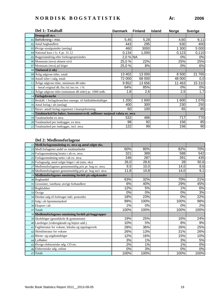| Ar: | 200 |
|-----|-----|
|-----|-----|

| Del 1: Totaltall                                                            | <b>Danmark</b> | <b>Finland</b> | <b>Island</b> | <b>Norge</b> | <b>Sverige</b> |
|-----------------------------------------------------------------------------|----------------|----------------|---------------|--------------|----------------|
| Demografi m.v.                                                              |                |                |               |              |                |
| 01 Befolkning i mio.                                                        | 5,45           | 5,28           |               | 4,60         | 9,11           |
| 02 Antal boghandlere                                                        | 443            | 295            |               | 630          | 400            |
| 03 Øvrige utsalgssteder (anslag)                                            | 460            | 3000           |               | 1 300        | 5 000          |
| 04 National kurs i f.t. €pr. 31.12                                          | 0,134          | 1,000          |               | 0,123        | 0,110          |
| 05 Bogprisändring efter forbrugerprisindex                                  | $2,0%$ NA      |                |               | 0%           | 0%             |
| 06 Momssats (mva) alment nivå                                               | 25,0 %         | 22%            |               | 25%          | 25%            |
| 07 Momssats (mva) på böger                                                  | 25,0 %         | 8%             |               | 0%           | 6%             |
| 08 Titelantal (i stk)                                                       |                |                |               |              |                |
| 09 Årlig udgivne titler, totalt                                             | 13 402         | 13 000         |               | 8 500        | 21 765         |
| 10 Antall titler i salg, totalt                                             | 72 000         | 68 000         |               | 48 000       | 0,0            |
| 11 Årlige udgivne titler, minimum 48 sider                                  | 9852           | 13 656         |               | 11 463       | 15 310         |
| $12$ – heraf original dk./fin./isl./no./sv. i %                             | 64%            | 85%            |               | 0%           | 0%             |
| 13 Årlige udgivne titler (minimum 48 sider) pr. 1000 indb.                  | 1,8            | 2,6            |               | 2,5          | 1,7            |
| 14 Forlagsbranche                                                           |                |                |               |              |                |
| 15 Beskäft. i forlagsbranchen omregn. til fuldtidsbeskäftiget               | 200            | 600            |               | 1 600        | 1 0 7 6        |
| 16 Antal forlag i alt (anslag)                                              | 400            | 300            |               | 230          | 250            |
| 17 Herav: antall forlag organisert i bransjeforening                        | 60             | 100            |               | 65           | 85             |
| 18 Totalmarked for bøker, konsumentverdi, millioner nasjonal valuta ex. mva |                |                |               |              |                |
| 19 Totalmarkedet ex mva                                                     | 532            | 486            |               | 717          | 770            |
| 20 Totalmarked per innbygger, ex mva                                        | 98             | 92             |               | 156          | 85             |
| 21 Totalmarked per innbygger, incl. mva.                                    | 122            | 99             |               | 156          | 90             |

| 22 Medl.forlagsomsätning ex. mva og antal solgte eks.     |      |      |      |      |
|-----------------------------------------------------------|------|------|------|------|
| 23 Medl.forlagenes andel av totalmarkedet                 | 60%  | 80%  | 82%  | 70%  |
| 24 Forlagsomsätning brutto i alt ex. mva.                 | 321  | 389  | 588  | 542  |
| 25 Forlagsomsätning netto i alt ex. mva.                  | 246  | 287  | 391  | 435  |
| 26 Forlagssalg, antal solgte böger i alt (mio. eks)       | 26,0 | 28,6 | 28   | 50,6 |
| 27 Medlemsforlagenes gennemsnitlig pris pr. bog ex. mva.  | 9,5  | 10,0 | 14,0 | 8,6  |
| 28 Medlemsforlagenes gennemsnitlig pris pr. bog incl. mva | 11,8 | 10,8 | 14,0 | 9,1  |
| 29 Medlemsforlagenes omsätning fordelt på salgskanaler    |      |      |      |      |
| 30 Boghandel                                              | 63%  | 32%  | 70%  | 21%  |
| 31 Grossister, varehuse, øvrige forhandlere               | 6%   | 40%  | 29%  | 45%  |
| 32 Bogklubber                                             | 12%  | 5%   | 1%   | 6%   |
| 33 Övrige                                                 | 0%   | 0%   | 0%   | 3%   |
| 34 Direkte salg til forbruger inkl. postordre             | 18%  | 23%  | 0%   | 22%  |
| 35 Salg i alt hjemmemarked                                | 99%  | 100% | 100% | 98%  |
| 36 Eksport i alt                                          | 1%   | 0%   | 0%   | 2%   |
| 37 Totalt                                                 | 100% | 100% | 100% | 100% |
| 38 Medlemsforlagenes omsätning fordelt på boggrupper      |      |      |      |      |
| 39 Skoleböger (grundskole & gymnasium)                    | 19%  | 25%  | 16%  | 24%  |
| 40 Läreböger (videregående og höjere udd.)                | 10%  | 5%   | 8%   | 9%   |
| 41 Faglitteratur for voksne, leksika og oppslagsverk      | 28%  | 36%  | 26%  | 25%  |
| 42 Skönlitteratur for voksne                              | 26%  | 13%  | 31%  | 26%  |
| 43 Börne- og ungdomsböger                                 | 12%  | 16%  | 15%  | 10%  |
| 44 Lydbøker                                               | 3%   | 1%   | 3%   | 5%   |
| 45 Øvrige elektroniske udg. CD etc.                       | 2%   | 1%   | 1%   | 0%   |
| 46 Elektroniske udg. online                               | 0%   | 3%   | 0%   | 0%   |
| 47 Totalt                                                 | 100% | 100% | 100% | 100% |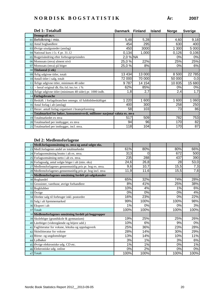|    | Del 1: Totaltall                                                            | Danmark Finland |        | <b>Island</b> | <b>Norge</b> | <b>Sverige</b> |
|----|-----------------------------------------------------------------------------|-----------------|--------|---------------|--------------|----------------|
|    | Demografi m.v.                                                              |                 |        |               |              |                |
|    | 01 Befolkning i mio.                                                        | 5,48            | 5,28   |               | 4,60         | 9,18           |
|    | 02 Antal boghandlere                                                        | 454             | 295    |               | 630          | 400            |
|    | $03$ Øvrige utsalgssteder (anslag)                                          | 450             | 3000   |               | 1 300        | 5 000          |
|    | 04 National kurs i f.t. €pr. 31.12                                          | 0,134           | 1,000  |               | 0,126        | 0,106          |
|    | 05 Bogprisändring efter forbrugerprisindex                                  | 2,0 % NA        |        |               | 0%           | 0%             |
|    | 06 Momssats (mva) alment nivå                                               | 25,0%           | 22%    |               | 25%          | 25%            |
|    | 07 Momssats (mva) på böger                                                  | 25,0 %          | 8%     |               | 0%           | 6%             |
|    | 08 Titelantal (i stk)                                                       |                 |        |               |              |                |
|    | 09 Årlig udgivne titler, totalt                                             | 13 4 34         | 13 000 |               | 8 500        | 22 785         |
|    | 10 Antall titler i salg, totalt                                             | 72 000          | 70 000 |               | 50 000       | 0,0            |
|    | 11 Årlige udgivne titler, minimum 48 sider                                  | 9787            | 14 154 |               | 10 835       | 15 680         |
| 12 | - heraf original dk./fin./isl./no./sv. i %                                  | 62%             | 85%    |               | 0%           | 0%             |
|    | 13 Årlige udgivne titler (minimum 48 sider) pr. 1000 indb.                  | 1,8             | 2,7    |               | 2,4          | 1,7            |
|    | 14 Forlagsbranche                                                           |                 |        |               |              |                |
|    | 15 Beskäft. i forlagsbranchen omregn. til fuldtidsbeskäftiget               | 1 2 2 0         | 1 600  |               | 1 600        | 1 060          |
|    | 16 Antal forlag i alt (anslag)                                              | 400             | 300    |               | 258          | 250            |
|    | 17 Herav: antall forlag organisert i bransjeforening                        | 58              | 103    |               | 73           | 86             |
|    | 18 Totalmarked for bøker, konsumentverdi, millioner nasjonal valuta ex. mva |                 |        |               |              |                |
|    | 19 Totalmarkedet ex mva                                                     | 517             | 509    |               | 782          | 753            |
|    | 20 Totalmarked per innbygger, ex mva                                        | 94              | 96     |               | 170          | 82             |
|    | 21 Totalmarked per innbygger, incl. mva.                                    | 118             | 104    |               | 170          | 87             |

|    | 22 Medl.forlagsomsätning ex. mva og antal solgte eks.     |      |      |      |      |
|----|-----------------------------------------------------------|------|------|------|------|
|    | 23 Medl.forlagenes andel av totalmarkedet                 | 61%  | 80%  | 80%  | 66%  |
|    | 24 Forlagsomsätning brutto i alt ex. mva.                 | 313  | 0    | 672  | 500  |
|    | 25 Forlagsomsätning netto i alt ex. mva.                  | 235  | 288  | 437  | 390  |
|    | 26 Forlagssalg, antal solgte böger i alt (mio. eks)       | 24,6 | 26,8 | 28   | 53,0 |
|    | 27 Medlemsforlagenes gennemsnitlig pris pr. bog ex. mva.  | 9,6  | 10,7 | 15,5 | 7,3  |
|    | 28 Medlemsforlagenes gennemsnitlig pris pr. bog incl. mva | 11,9 | 11,6 | 15,5 | 7,8  |
|    | 29 Medlemsforlagenes omsätning fordelt på salgskanaler    |      |      |      |      |
|    | 30 Boghandel                                              | 65%  | 32%  | 74%  | 28%  |
|    | 31 Grossister, varehuse, øvrige forhandlere               | 8%   | 41%  | 25%  | 38%  |
| 32 | Bogklubber                                                | 10%  | 4%   | 1%   | 6%   |
|    | 33 Övrige                                                 | 0%   | 0%   | 0%   | 4%   |
|    | 34 Direkte salg til forbruger inkl. postordre             | 16%  | 23%  | 0%   | 22%  |
|    | 35 Salg i alt hjemmemarked                                | 99%  | 100% | 100% | 98%  |
|    | 36 Eksport i alt                                          | 1%   | 0%   | 0%   | 3%   |
|    | 37 Totalt                                                 | 100% | 100% | 100% | 100% |
|    | 38 Medlemsforlagenes omsätning fordelt på boggrupper      |      |      |      |      |
|    | 39 Skoleböger (grundskole & gymnasium)                    | 19%  | 25%  | 25%  | 26%  |
|    | 40 Läreböger (videregående og höjere udd.)                | 10%  | 6%   | 9%   | 0%   |
|    | 41 Faglitteratur for voksne, leksika og oppslagsverk      | 25%  | 36%  | 23%  | 28%  |
| 42 | Skönlitteratur for voksne                                 | 28%  | 14%  | 30%  | 29%  |
|    | 43 Börne- og ungdomsböger                                 | 13%  | 14%  | 10%  | 11%  |
|    | 44 Lydbøker                                               | 3%   | 1%   | 3%   | 6%   |
|    | 45 Øvrige elektroniske udg. CD etc.                       | 1%   | 1%   | 0%   | 1%   |
|    | 46 Elektroniske udg. online                               | 0%   | 2%   | 0%   | 0%   |
|    | 47 Totalt                                                 | 100% | 100% | 100% | 100% |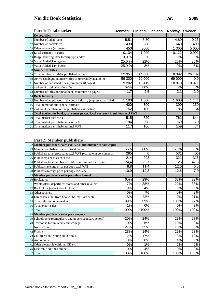## **Nordic Book Statistics År: 2008**

|    | <b>Part 1: Total market</b>                                                     | <b>Denmark</b> | <b>Finland</b> | <b>Iceland</b> | <b>Norway</b> | <b>Sweden</b> |
|----|---------------------------------------------------------------------------------|----------------|----------------|----------------|---------------|---------------|
|    | <b>Demografics</b>                                                              |                |                |                |               |               |
|    | 01 Number of inhabitants                                                        | 5,51           | 5,30           |                | 4,80          | 9,26          |
|    | 02 Number of bookstores                                                         | 430            | 288            |                | 640           | 400           |
|    | 03 Other retailers (estimate)                                                   | 450            | 3000           |                | 1 300         | 5 000         |
|    | 04 Local currency in euros                                                      | 0,134          | 1,000          |                | 0,122         | 0,092         |
|    | 05 Bogprisändring efter forbrugerprisindex                                      | 0,0%           | 0              |                | 0%            | 0%            |
|    | 06 Value Added Tax, general                                                     | 25,0 %         | 22%            |                | 25%           | 25%           |
|    | 07 Value Added Tax, books                                                       | 25,0 %         | 8%             |                | 0%            | 6%            |
|    | 08 Number of Titles                                                             |                |                |                |               |               |
|    | 09 Total number och titles published per year                                   | 12 354         | 14 000         |                | 8 3 9 2       | 26 182        |
|    | 10 Active catalogue (number titles commercially available)                      | 59 300         | 70 000         |                | 69 000        | 0,0           |
|    | 11 Number of published titles (minimum 48 pages)                                | 9 2 0 2        | 13 4 19        |                | 10 070        | 18 971        |
|    | 12 - whereof original editions, %                                               | 62%            | 80%            |                | 0%            | 0%            |
|    | 13 Number of titles per inhabitant (minimum 48 pages)                           | 1,7            | 2,5            |                | 2,1           | 2,0           |
|    | 14 Book Industry                                                                |                |                |                |               |               |
|    | 15 Number of employees in the book industry (expressed as full-ti               | 1 100          | 800            |                | 1 600         | 1 141         |
|    | 16 Total numer of publishers (estimate)                                         | 400            | 300            |                | 300           | 250           |
| 17 | - whereof members of the publishers association                                 | 52             | 100            |                | 85            | 84            |
|    | 18 Total market for books, consumer prices, local currency in millions excl VAT |                |                |                |               |               |
|    | 19 Total market excl VAT                                                        | 515            | 520            |                | 761           | 644           |
|    | 20 Total market per inhabitant excl VAT                                         | 94             | 98             |                | 159           | 70            |
|    | 21 Total market per inhabitant incl VAT                                         | 117            | 106            |                | 159           | 74            |

#### **Part 2: Member publishers**

| 22 Member publishers sales excl VAT and number of sold copies     |      |      |      |      |
|-------------------------------------------------------------------|------|------|------|------|
| 23 Member publishers share of total market                        | 55%  | 80%  | 70%  | 63%  |
| 24 Publishers total gross sales excl VAT (estimate in consumer pr | 285  | 0    | 531  | 406  |
| 25 Publishers net sales excl VAT                                  | 214  | 293  | 321  | 315  |
| 26 Publishers total number of sold copies, in million copies      | 24,4 | 25,7 | 26   | 47,8 |
| 27 Publisers average price per copy excl VAT                      | 8,8  | 11,4 | 12,6 | 6,6  |
| 28 Publisers average price per copy incl VAT                      | 10,9 | 12,3 | 12,6 | 7,0  |
| 29 Member publishers sales per sales channel                      |      |      |      |      |
| 30 Bookstores                                                     | 65%  | 29%  | 68%  | 29%  |
| 31 Wholesalers, department stores and other retailers             | 7%   | 38%  | 29%  | 38%  |
| 32 Book clubs (sales to book clubs)                               | 9%   | 4%   | 3%   | 6%   |
| 33 Other retailers                                                | 0%   | 7%   | 0%   | 3%   |
| 34 Direct sales incl from bookclubs, mail-order etc               | 18%  | 22%  | 0%   | 21%  |
| 35 Total sales in home market                                     | 99%  | 99%  | 100% | 97%  |
| 36 Total export sales                                             | 1%   | 0%   | 0%   | 3%   |
| 37 Total                                                          | 100% | 100% | 100% | 100% |
| 38 Member publishers sales per category                           |      |      |      |      |
| 39 Schoolbooks (compulsory and upper secondary school)            | 20%  | 24%  | 29%  | 27%  |
| 40 Textbooks for university and college                           | 10%  | 5%   | 10%  | 0%   |
| 41 Non-fiction                                                    | 27%  | 35%  | 18%  | 30%  |
| 42 Fiction                                                        | 28%  | 14%  | 29%  | 27%  |
| 43 Children's and young adult books                               | 12%  | 17%  | 8%   | 10%  |
| 44 Audio book                                                     | 3%   | 0%   | 4%   | 6%   |
| 45 Other electronic editions, CD etc                              | 0%   | 1%   | 2%   | 0%   |
| 46 Electronic editions online                                     | 0%   | 4%   | 0%   | 0%   |
| 47 Total                                                          | 100% | 100% | 100% | 100% |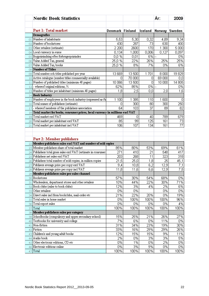|              | <b>Nordic Book Statistics</b>                                                           |                 |                   |            | År:            | 2009            |
|--------------|-----------------------------------------------------------------------------------------|-----------------|-------------------|------------|----------------|-----------------|
|              | Part 1: Total market                                                                    |                 |                   |            |                |                 |
|              | Demografics                                                                             | Denmark Finland |                   | Iceland    | Norway Sweden  |                 |
|              | Number of inhabitants                                                                   |                 |                   |            |                |                 |
| 01           | Number of bookstores                                                                    | 5,53<br>430     | 5,30<br>287       | 0,32<br>73 | 4,89           | 9,34            |
| 02           |                                                                                         |                 |                   |            | 630            | 400             |
| 03           | Other retailers (estimate)                                                              | 2 200           | 2600              | 170        | 1 300          | 5000            |
| 04           | Local currency in euros                                                                 | 0,134           | 1,000             | 0,006      | 0,127          | 0,097           |
| 05           | Bogprisändring efter forbrugerprisindex                                                 | 0,0%            | 0,01              | 6% --      |                | 0%              |
| 06           | Value Added Tax, general                                                                | 25,0%           | 22%               | 26%        | 25%            | 25%             |
| 07           | Value Added Tax, books                                                                  | 25,0%           | 8%                | 7%         | 0%             | 6%              |
| 08           | Number of Titles                                                                        |                 |                   |            |                |                 |
| 09           | Total number och titles published per year                                              | 13 669          | 13 500            | 1701       | 8000           | 19829           |
| 10           | Active catalogue (number titles commercially available)                                 | Ο               | 70 000            | 0          | 69 000         | [0,0]           |
| $\mathbf{1}$ | Number of published titles (minimum 48 pages)                                           | 10 066          | 13 500            | 0          | 10 000         | 14 805          |
| 12           | - whereof original editions, %                                                          | 62%             | 85%               | 0%         | $\overline{a}$ | 0%              |
| 13           | Number of titles per inhabitant (minimum 48 pages)                                      | 1,8             | 2,5               | 0,0        | 2,0            | 1,6             |
| 14           | <b>Book Industry</b>                                                                    |                 |                   |            |                |                 |
| 15           | Number of employees in the book industry (expressed as fu                               | 1 100           | 1 3 8 5           | 110        | 1 600          | 0               |
| 16           | Total numer of publishers (estimate)                                                    | Ο               | 300               | 80         | 300            | 250             |
| 17           | - whereof members of the publishers association                                         | 64              | 103               | 37         | 89             | 82              |
| 18           | Total market for books, consumer prices, local currency in millions excl VAT            |                 |                   |            |                |                 |
| 19           | Total market excl VAT                                                                   | 469             | 0                 | 40         | 789            | 679             |
| 20           | Total market per inhabitant excl VAT                                                    | 85              | 99                | 125        | 161            | 73              |
| 21           | Total market per inhabitant incl VAT                                                    | 106             | 107               | 134        | 161            | $\overline{77}$ |
| 22           | Part 2: Member publishers<br>Member publishers sales excl VAT and number of sold copies |                 |                   |            |                |                 |
| 23           | Member publishers share of total market                                                 | 85%             | 80%               | 53%        | 69%            | 61%             |
| 24           | Publishers total gross sales excl VAT (estimate in consumer                             | 271             | 410               | 21         | 548            | 417             |
| 25           | Publishers net sales excl VAT                                                           | 203             | 268               | 11         | 323            | 318             |
| 26           | Publishers total number of sold copies, in million copies                               | 21,5            | $\overline{25,0}$ | 1,8        | 25             | 45,1            |
| 27           | Publisers average price per copy excl VAT                                               | 9,4             | 10,8              | 6,2        | 12,9           | 7,1             |
|              | $28$ Publisers average price per copy incl VAT                                          | 11,8            | 11,6              | 6,6        | 12,9           | 7,5             |
| 29           | Member publishers sales per sales channel                                               |                 |                   |            |                |                 |
| 30           | Bookstores                                                                              | 57%             | 30%               | 54%        | 68%            | 0%              |
| 31           | Wholesalers, department stores and other retailers                                      | 10%             | 44%               | 22%        | 30%            | 71%             |
| 32           | Book clubs (sales to book clubs)                                                        | 12%             | 3%                | 4%         | 2%             | 6%              |
| 33           | Other retailers                                                                         | 0%              | 0%                |            | 0%             | 0%              |
| 34           | Direct sales incl from bookclubs, mail-order etc                                        | 21%             | 22%               | 20%        | 0%             | 19%             |
| 35           | Total sales in home market                                                              | 0%              | 100%              | 100%       | 100%           | 96%             |
| 36           | Total export sales                                                                      | 0%              | 0%                | 0%         | 0%             | 4%              |
| 37           | Total                                                                                   | 100%            | 100%              | 100%       | 100%           | 100%            |
| 38           | Member publishers sales per category                                                    |                 |                   |            |                |                 |
| 39           | Schoolbooks (compulsory and upper secondary school)                                     | 15%             | 25%               | 21%        | 26%            | 27%             |
| 40           | Textbooks for university and college                                                    | 7%              | 6%                | 0%         | 11%            | 0%              |
| 41           | Non-fiction                                                                             | 31%             | 34%               | 23%        | 19%            | 30%             |
| 42           | Fiction                                                                                 | 33%             | 16%               | 29%        | 29%            | 26%             |
| 43           | Children's and young adult books                                                        | 12%             | 15%               | 15%        | 9%             | 11%             |
| 44           | Audio book                                                                              | 2%              | 0%                | 3%         | 3%             | 5%              |
| 45           | Other electronic editions, CD etc                                                       | 0%              | 1%                | 0%         | 2%             | 0%              |
| 46           | Electronic editions online                                                              | 0%              | 3%                | 9%         | 0%             | 0%              |
| 47           | Total                                                                                   | 100%            | 100%              | 100%       | 100%           | 100%            |
|              |                                                                                         |                 |                   |            |                |                 |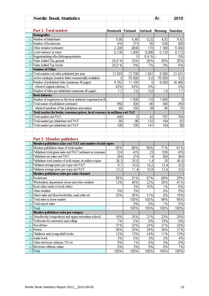|    | <b>Nordic Book Statistics</b>                                                           |                          |        |                    | År:     | 2010             |
|----|-----------------------------------------------------------------------------------------|--------------------------|--------|--------------------|---------|------------------|
|    |                                                                                         |                          |        |                    |         |                  |
|    | Part 1: Total market                                                                    | Denmark Finland          |        | Iceland            | Norway  | <b>Sweden</b>    |
|    | Demografics                                                                             |                          |        |                    |         |                  |
| 01 | Number of inhabitants                                                                   | 5,56                     | 5,40   | 0,32               | 4,92    | 9,42             |
| 02 | Number of bookstores                                                                    | 418                      | 273    | 55                 | 630     | 400              |
| 03 | Other retailers (estimate)                                                              | 2 200                    | 2600   | 170                | 1 300   | 5 000            |
| 04 | Local currency in euros                                                                 | 0,130                    | 1,000  | 0,006              | 0,125   | 0,112            |
| 05 | Bogprisändring efter forbrugerprisindex                                                 | $\overline{\phantom{0}}$ | Ο      | $8,4%$ $\boxed{-}$ |         | 0%               |
| 06 | Value Added Tax, general                                                                | 25,0 %                   | 23%    | 26%                | 25%     | 25%              |
| 07 | Value Added Tax, books                                                                  | 25,0%                    | 9%     | 7%                 | 0%      | 6%               |
| 08 | Number of Titles                                                                        |                          |        |                    |         |                  |
| 09 | Total number och titles published per year                                              | 12 593                   | 12700  | 1651               | 8000    | 21 631           |
| 10 | Active catalogue (number titles commercially available)                                 | ۵                        | 70 000 | 0,0                | 70 000  | 0,0              |
| 11 | Number of published titles (minimum 48 pages)                                           | 9 2 5 2                  | 11 100 | 0                  | 8 0 0 0 | 16 4 65          |
| 12 | - whereof original editions, %                                                          | 63%                      | 83%    | $0\%$ -            |         | 0%               |
| 13 | Number of titles per inhabitant (minimum 48 pages)                                      | 1,7                      | 2,0    | 0,0                | 1,6     | 1,7              |
| 14 | <b>Book Industry</b>                                                                    |                          |        |                    |         |                  |
| 15 | Number of employees in the book industry (expressed as fu                               |                          | 1500   | 110                | 1 600   | 0                |
| 16 | Total numer of publishers (estimate)                                                    | 950                      | 300    | 80                 | 300     | 250              |
| 17 | - whereof members of the publishers association                                         | 66                       | 150    | 39                 | 90      | 75               |
| 18 | Total market for books, consumer prices, local currency in millions excl VAT            |                          |        |                    |         |                  |
| 19 | Total market excl VAT                                                                   | 446                      | 0      | 42                 | 757     | 784              |
| 20 | Total market per inhabitant excl VAT                                                    | 80                       | 96     | 132                | 154     | 83               |
| 21 | Total market per inhabitant incl VAT                                                    | 100                      | 105    | 141                | 154     | 88               |
| 22 | Part 2: Member publishers<br>Member publishers sales excl VAT and number of sold copies |                          |        |                    |         |                  |
| 23 | Member publishers share of total market                                                 | 85%                      | 80%    | 56%                | 71%     | 61%              |
| 24 | Publishers total gross sales excl VAT (estimate in consumer                             | 324                      | 415    | 23                 | 535     | 476              |
| 25 | Publishers net sales excl VAT                                                           | 264                      | 274    | 14                 | 305     | 364              |
| 26 | Publishers total number of sold copies, in million copies                               | $\overline{26}$ ,3       | 25,0   | 1,4                | 25      | 45,5             |
| 27 | Publisers average price per copy excl VAT                                               | 9,7                      | 10,5   | 10,2               | 12,4    | $\overline{8,0}$ |
| 28 | Publisers average price per copy incl VAT                                               | 12,2                     | 11,4   | 10,9               | 12,4    | $\overline{85}$  |
| 29 | Member publishers sales per sales channel                                               |                          |        |                    |         |                  |
| 30 | Bookstores                                                                              | 55%                      | 31%    | 57%                | 68%     | 29%              |
| 31 | Wholesalers, department stores and other retailers                                      | 12%                      | 40%    | 22%                | 30%     | 41%              |
| 32 | Book clubs (sales to book clubs)                                                        | $\overline{a}$           | 3%     | 10%                | 1%      | 6%               |
| 33 | Other retailers                                                                         | 0%                       | 3%     |                    | 0%      | 0%               |
| 34 | Direct sales incl from bookclubs, mail-order etc                                        | 33%                      | 26%    | 11%                | 0%      | 19%              |
| 35 | Total sales in home market                                                              | $\overline{\phantom{0}}$ | 100%   | 100%               | 99%     | 95%              |
| 36 | Total export sales                                                                      | -                        | 0%     | 0%                 | 1%      | 5%               |
| 37 | Total                                                                                   | $\overline{\phantom{0}}$ | 100%   | 100%               | 100%    | 100%             |
| 38 | Member publishers sales per category                                                    |                          |        |                    |         |                  |
| 39 | Schoolbooks (compulsory and upper secondary school)                                     | 18%                      | 25%    | 21%                | 23%     | 29%              |
| 40 | Textbooks for university and college                                                    | 7%                       | 5%     | 0%                 | 10%     | 0%               |
| 41 | Non-fiction                                                                             | 31%                      | 32%    | 24%                | 21%     | 33%              |
| 42 | Fiction                                                                                 | 30%                      | 20%    | 29%                | 30%     | 21%              |
| 43 | Children's and young adult books                                                        | 12%                      | 13%    | 14%                | 11%     | 13%              |
| 44 | Audio book                                                                              | 3%                       | 0%     | 3%                 | 3%      | 4%               |
| 45 | Other electronic editions, CD etc                                                       | 0%                       | 1%     | 0%                 | 3%      | 0%               |
| 46 | Electronic editions online                                                              | 0%                       | 3%     | 9%                 | 0%      | 1%               |
| 47 | Total                                                                                   | 100%                     | 100%   | 100%               | 100%    | 100%             |
|    |                                                                                         |                          |        |                    |         |                  |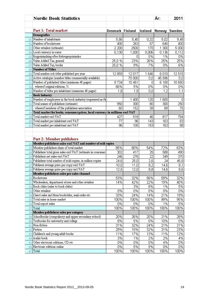|              | <b>Nordic Book Statistics</b>                                                |                 |                   |         | År:           | 2011   |
|--------------|------------------------------------------------------------------------------|-----------------|-------------------|---------|---------------|--------|
|              |                                                                              |                 |                   |         |               |        |
|              | Part 1: Total market                                                         | Denmark Finland |                   | Iceland | Norway Sweden |        |
|              | Demografics                                                                  |                 |                   |         |               |        |
| 01           | Number of inhabitants                                                        | 5,56            | 5,40              | 0,32    | 5,02          | 9,48   |
| 02           | Number of bookstores                                                         | 400             | 263               | 57      | 640           | 400    |
| 03           | Other retailers (estimate)                                                   | 2 200           | 2500              | 170     | 1 300         | 5 000  |
| 04           | Local currency in euros                                                      | 0,130           | 1,000             | 0,006   | 0,136         | 0,112  |
| 05           | Bogprisändring efter forbrugerprisindex                                      |                 | Ο                 | 5%      | 1%            | 0%     |
| 06           | Value Added Tax, general                                                     | 25,0%           | 23%               | 26%     | 25%           | 25%    |
| 07           | Value Added Tax, books                                                       | 25,0%           | 9%                | 7%      | 0%            | 6%     |
| 08           | Number of Titles                                                             |                 |                   |         |               |        |
| 09           | Total number och titles published per year                                   | 12859           | 12017             | 1646    | 6010          | 12515  |
| 10           | Active catalogue (number titles commercially available)                      |                 | 70 000            | 0,0     | 45 596        | 0,0    |
| $\mathbf{1}$ | Number of published titles (minimum 48 pages)                                | 9734            | 10 451            | 0       | 6 100         | 10 650 |
| 12           | - whereof original editions, %                                               | 66%             | 5%                | 0%      | 0%            | 0%     |
| 13           | Number of titles per inhabitant (minimum 48 pages)                           | 1,8             | 1,9               | 0,0     | 1,2           | 1,1    |
| 14           | <b>Book Industry</b>                                                         |                 |                   |         |               |        |
| 15           | Number of employees in the book industry (expressed as ful-                  |                 | 1 400             | 120     | 1 600         | 0      |
| 16           | Total numer of publishers (estimate)                                         | 950             | 300               | 80      | 300           | 250    |
| 17           | - whereof members of the publishers association                              | 60              | 152               | 39      | 89            | 75     |
| 18           | Total market for books, consumer prices, local currency in millions excl VAT |                 |                   |         |               |        |
| 19           | Total market excl VAT                                                        | 427             | 518               | 46      | 817           | 784    |
| 20           | Total market per inhabitant excl VAT                                         | 77              | 96                | 143     | 163           | 83     |
| 21           | Total market per inhabitant incl VAT                                         | 96              | 105               | 153     | 163           | 88     |
|              |                                                                              |                 |                   |         |               |        |
|              |                                                                              |                 |                   |         |               |        |
|              | Part 2: Member publishers                                                    |                 |                   |         |               |        |
| 22           | Member publishers sales excl VAT and number of sold copies                   |                 |                   |         |               |        |
| 23           | Member publishers share of total market                                      | 85%             | 80%               | 54%     | 72%           | 63%    |
| 24           | Publishers total gross sales excl VAT (estimate in consumer                  | 302             | 417               | 25      | 588           | 490    |
| 25           | Publishers net sales excl VAT                                                | 246             | 276               | 22      | 349           | 370    |
| 26           | Publishers total number of sold copies, in million copies                    | 24,6            | $\overline{25,0}$ | 2,6     | 24            | 45,8   |
| 27           | Publisers average price per copy excl VAT                                    | 10,0            | 11,0              | 8,2     | 14,6          | 8,1    |
|              | $28$ Publisers average price per copy incl VAT                               | 12,5            | 12,0              | 8,8     | 14,6          | 8,6    |
| 29           | Member publishers sales per sales channel                                    |                 |                   |         |               |        |
| 30           | Bookstores                                                                   | 53%             | 32%               | 56%     | 59%           | 32%    |
| 31           | Wholesalers, department stores and other retailers                           | 14%             | 42%               | 22%     | 19%           | 40%    |
| 32           | Book clubs (sales to book clubs)                                             |                 | 3%                | 8%      | 1%            | 5%     |
| 33           | Other retailers                                                              | 0%              | 0%                | 0%      | 0%            | 0%     |
|              | Direct sales incl from bookclubs, mail-order etc                             | 33%             | 24%               | 14%     | 21%           | 19%    |
| 34           | Total sales in home market                                                   | 100%            | 100%              | 100%    | 99%           | 95%    |
| 35           | Total export sales                                                           | 0%              | 0%                | 0%      | 1%            | 5%     |
| 36           |                                                                              |                 |                   |         |               |        |
| 37           | Total                                                                        | 100%            | 100%              | 100%    | 100%          | 100%   |
| 38           | Member publishers sales per category                                         |                 |                   |         |               |        |
| 39           | Schoolbooks (compulsory and upper secondary school)                          | 20%             | 26%               | 20%     | 21%           | 28%    |
| 40           | Textbooks for university and college                                         | 8%              | 5%                | 0%      | 10%           | 0%     |
| 41           | Non-fiction                                                                  | 31%             | 32%               | 24%     | 21%           | 31%    |
| 42           | Fiction                                                                      | 29%             | 15%               | 32%     | 31%           | 23%    |
| 43           | Children's and young adult books                                             | 11%             | 17%               | 13%     | 11%           | 12%    |
| 44           | Audio book                                                                   | 3%              | 1%                | 2%      | 2%            | 4%     |
| 45           | Other electronic editions, CD etc                                            | 0%              | 0%                | 0%      | 4%            | 0%     |
| 46           | Electronic editions online                                                   | 0%              | 5%                | 9%      | 0%            | 0%     |
| 47           | Total                                                                        | 100%            | 100%              | 100%    | 100%          | 100%   |